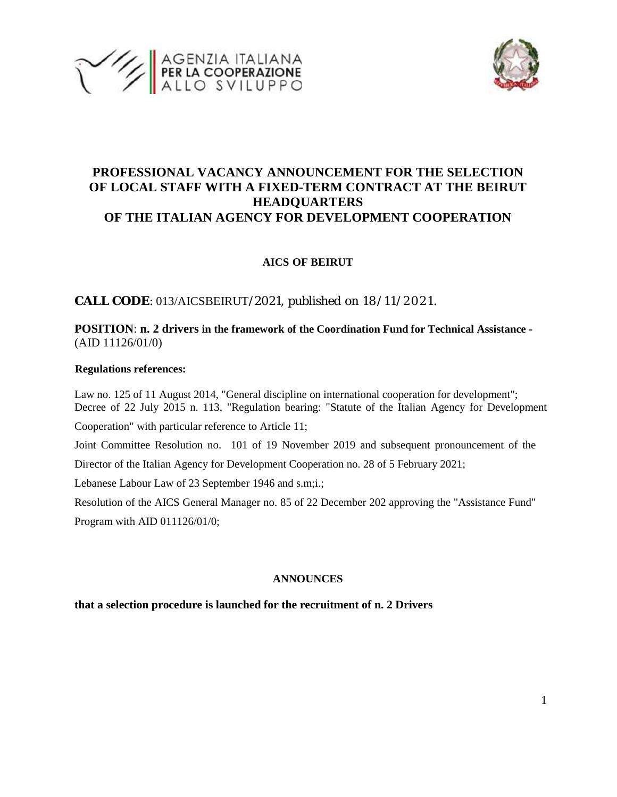



# **PROFESSIONAL VACANCY ANNOUNCEMENT FOR THE SELECTION OF LOCAL STAFF WITH A FIXED-TERM CONTRACT AT THE BEIRUT HEADQUARTERS OF THE ITALIAN AGENCY FOR DEVELOPMENT COOPERATION**

## **AICS OF BEIRUT**

**CALL CODE**: 013/AICSBEIRUT/2021, published on 18/11/2021.

**POSITION**: **n. 2 drivers in the framework of the Coordination Fund for Technical Assistance -** (AID 11126/01/0)

### **Regulations references:**

Law no. 125 of 11 August 2014, "General discipline on international cooperation for development"; Decree of 22 July 2015 n. 113, "Regulation bearing: "Statute of the Italian Agency for Development

Cooperation" with particular reference to Article 11;

Joint Committee Resolution no. 101 of 19 November 2019 and subsequent pronouncement of the

Director of the Italian Agency for Development Cooperation no. 28 of 5 February 2021;

Lebanese Labour Law of 23 September 1946 and s.m;i.;

Resolution of the AICS General Manager no. 85 of 22 December 202 approving the "Assistance Fund" Program with AID 011126/01/0;

### **ANNOUNCES**

### **that a selection procedure is launched for the recruitment of n. 2 Drivers**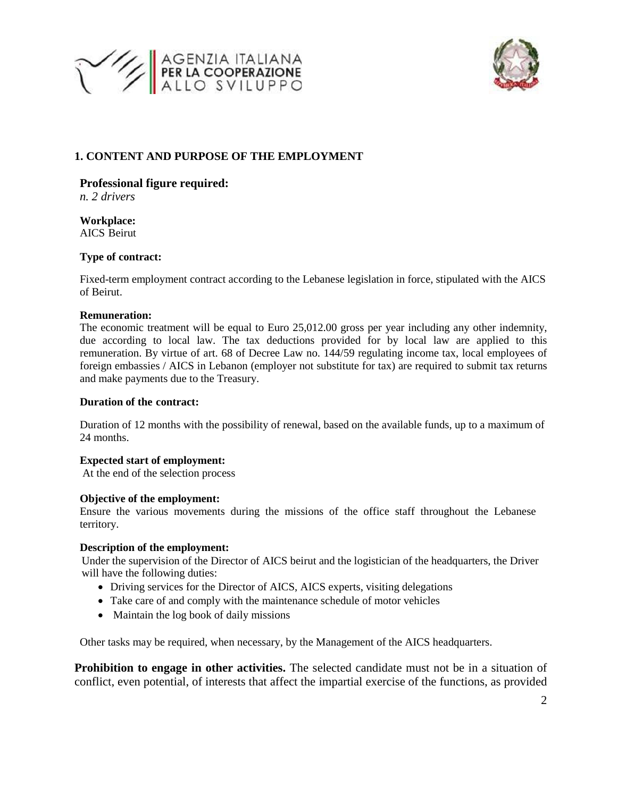



## **1. CONTENT AND PURPOSE OF THE EMPLOYMENT**

### **Professional figure required:**

*n. 2 drivers*

**Workplace:** AICS Beirut

### **Type of contract:**

Fixed-term employment contract according to the Lebanese legislation in force, stipulated with the AICS of Beirut.

#### **Remuneration:**

The economic treatment will be equal to Euro 25,012.00 gross per year including any other indemnity, due according to local law. The tax deductions provided for by local law are applied to this remuneration. By virtue of art. 68 of Decree Law no. 144/59 regulating income tax, local employees of foreign embassies / AICS in Lebanon (employer not substitute for tax) are required to submit tax returns and make payments due to the Treasury.

### **Duration of the contract:**

Duration of 12 months with the possibility of renewal, based on the available funds, up to a maximum of 24 months.

### **Expected start of employment:**

At the end of the selection process

#### **Objective of the employment:**

Ensure the various movements during the missions of the office staff throughout the Lebanese territory.

### **Description of the employment:**

Under the supervision of the Director of AICS beirut and the logistician of the headquarters, the Driver will have the following duties:

- Driving services for the Director of AICS, AICS experts, visiting delegations
- Take care of and comply with the maintenance schedule of motor vehicles
- Maintain the log book of daily missions

Other tasks may be required, when necessary, by the Management of the AICS headquarters.

**Prohibition to engage in other activities.** The selected candidate must not be in a situation of conflict, even potential, of interests that affect the impartial exercise of the functions, as provided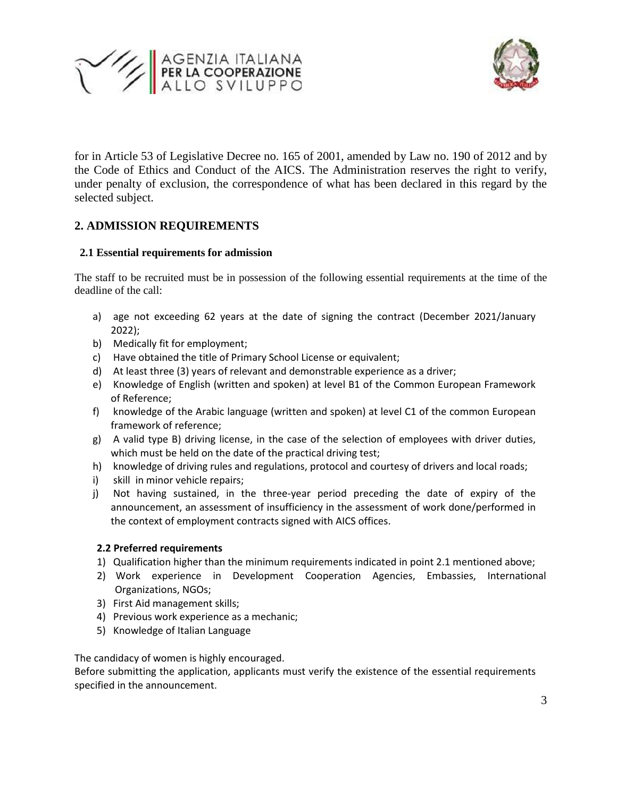



for in Article 53 of Legislative Decree no. 165 of 2001, amended by Law no. 190 of 2012 and by the Code of Ethics and Conduct of the AICS. The Administration reserves the right to verify, under penalty of exclusion, the correspondence of what has been declared in this regard by the selected subject.

# **2. ADMISSION REQUIREMENTS**

## **2.1 Essential requirements for admission**

The staff to be recruited must be in possession of the following essential requirements at the time of the deadline of the call:

- a) age not exceeding 62 years at the date of signing the contract (December 2021/January 2022);
- b) Medically fit for employment;
- c) Have obtained the title of Primary School License or equivalent;
- d) At least three (3) years of relevant and demonstrable experience as a driver;
- e) Knowledge of English (written and spoken) at level B1 of the Common European Framework of Reference;
- f) knowledge of the Arabic language (written and spoken) at level C1 of the common European framework of reference;
- g) A valid type B) driving license, in the case of the selection of employees with driver duties, which must be held on the date of the practical driving test;
- h) knowledge of driving rules and regulations, protocol and courtesy of drivers and local roads;
- i) skill in minor vehicle repairs;
- j) Not having sustained, in the three-year period preceding the date of expiry of the announcement, an assessment of insufficiency in the assessment of work done/performed in the context of employment contracts signed with AICS offices.

### **2.2 Preferred requirements**

- 1) Qualification higher than the minimum requirements indicated in point 2.1 mentioned above;
- 2) Work experience in Development Cooperation Agencies, Embassies, International Organizations, NGOs;
- 3) First Aid management skills;
- 4) Previous work experience as a mechanic;
- 5) Knowledge of Italian Language

The candidacy of women is highly encouraged.

Before submitting the application, applicants must verify the existence of the essential requirements specified in the announcement.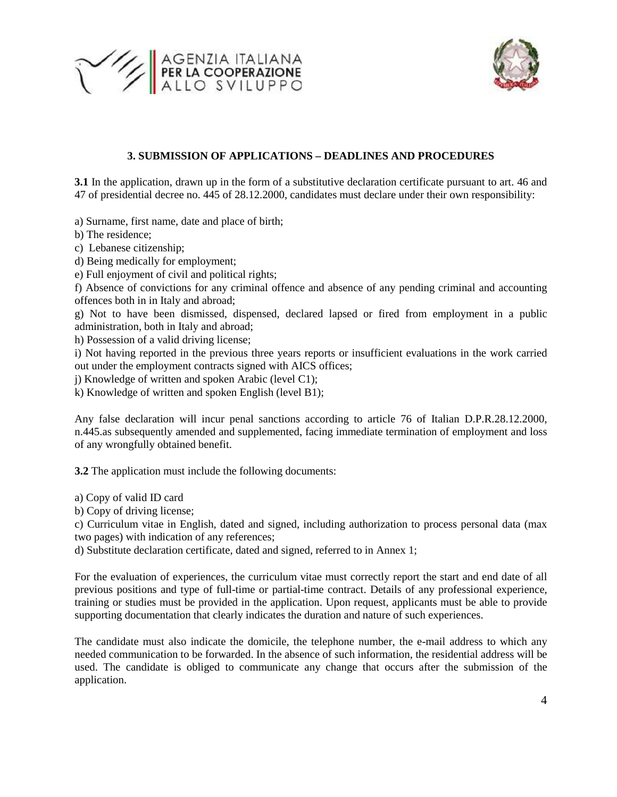



### **3. SUBMISSION OF APPLICATIONS – DEADLINES AND PROCEDURES**

**3.1** In the application, drawn up in the form of a substitutive declaration certificate pursuant to art. 46 and 47 of presidential decree no. 445 of 28.12.2000, candidates must declare under their own responsibility:

a) Surname, first name, date and place of birth;

- b) The residence;
- c) Lebanese citizenship;
- d) Being medically for employment;
- e) Full enjoyment of civil and political rights;

f) Absence of convictions for any criminal offence and absence of any pending criminal and accounting offences both in in Italy and abroad;

g) Not to have been dismissed, dispensed, declared lapsed or fired from employment in a public administration, both in Italy and abroad;

h) Possession of a valid driving license;

i) Not having reported in the previous three years reports or insufficient evaluations in the work carried out under the employment contracts signed with AICS offices;

j) Knowledge of written and spoken Arabic (level C1);

k) Knowledge of written and spoken English (level B1);

Any false declaration will incur penal sanctions according to article 76 of Italian D.P.R.28.12.2000, n.445.as subsequently amended and supplemented, facing immediate termination of employment and loss of any wrongfully obtained benefit.

**3.2** The application must include the following documents:

a) Copy of valid ID card

b) Copy of driving license;

c) Curriculum vitae in English, dated and signed, including authorization to process personal data (max two pages) with indication of any references;

d) Substitute declaration certificate, dated and signed, referred to in Annex 1;

For the evaluation of experiences, the curriculum vitae must correctly report the start and end date of all previous positions and type of full-time or partial-time contract. Details of any professional experience, training or studies must be provided in the application. Upon request, applicants must be able to provide supporting documentation that clearly indicates the duration and nature of such experiences.

The candidate must also indicate the domicile, the telephone number, the e-mail address to which any needed communication to be forwarded. In the absence of such information, the residential address will be used. The candidate is obliged to communicate any change that occurs after the submission of the application.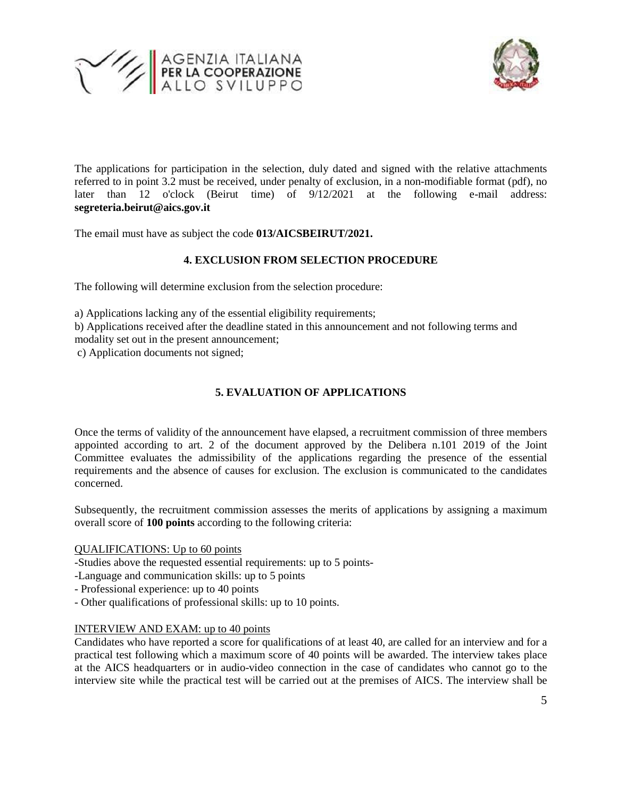



The applications for participation in the selection, duly dated and signed with the relative attachments referred to in point 3.2 must be received, under penalty of exclusion, in a non-modifiable format (pdf), no later than 12 o'clock (Beirut time) of 9/12/2021 at the following e-mail address: **segreteria.beirut@aics.gov.it**

The email must have as subject the code **013/AICSBEIRUT/2021.**

## **4. EXCLUSION FROM SELECTION PROCEDURE**

The following will determine exclusion from the selection procedure:

a) Applications lacking any of the essential eligibility requirements;

b) Applications received after the deadline stated in this announcement and not following terms and modality set out in the present announcement;

c) Application documents not signed;

## **5. EVALUATION OF APPLICATIONS**

Once the terms of validity of the announcement have elapsed, a recruitment commission of three members appointed according to art. 2 of the document approved by the Delibera n.101 2019 of the Joint Committee evaluates the admissibility of the applications regarding the presence of the essential requirements and the absence of causes for exclusion. The exclusion is communicated to the candidates concerned.

Subsequently, the recruitment commission assesses the merits of applications by assigning a maximum overall score of **100 points** according to the following criteria:

### QUALIFICATIONS: Up to 60 points

-Studies above the requested essential requirements: up to 5 points-

- -Language and communication skills: up to 5 points
- Professional experience: up to 40 points
- Other qualifications of professional skills: up to 10 points.

### INTERVIEW AND EXAM: up to 40 points

Candidates who have reported a score for qualifications of at least 40, are called for an interview and for a practical test following which a maximum score of 40 points will be awarded. The interview takes place at the AICS headquarters or in audio-video connection in the case of candidates who cannot go to the interview site while the practical test will be carried out at the premises of AICS. The interview shall be